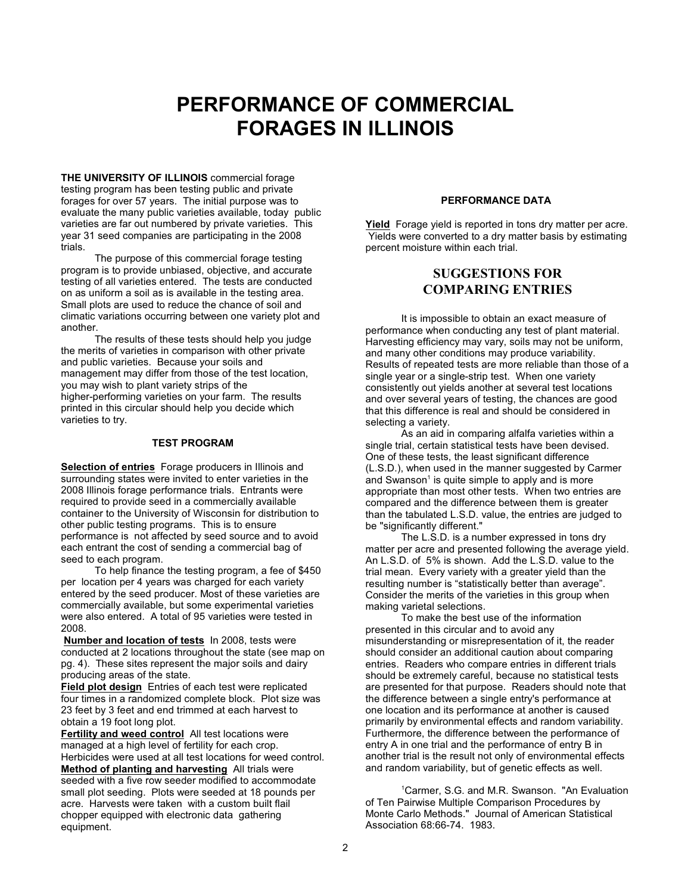# **PERFORMANCE OF COMMERCIAL FORAGES IN ILLINOIS**

**THE UNIVERSITY OF ILLINOIS** commercial forage testing program has been testing public and private forages for over 57 years. The initial purpose was to evaluate the many public varieties available, today public varieties are far out numbered by private varieties. This year 31 seed companies are participating in the 2008 trials.

The purpose of this commercial forage testing program is to provide unbiased, objective, and accurate testing of all varieties entered. The tests are conducted on as uniform a soil as is available in the testing area. Small plots are used to reduce the chance of soil and climatic variations occurring between one variety plot and another.

The results of these tests should help you judge the merits of varieties in comparison with other private and public varieties. Because your soils and management may differ from those of the test location, you may wish to plant variety strips of the higher-performing varieties on your farm. The results printed in this circular should help you decide which varieties to try.

#### **TEST PROGRAM**

**Selection of entries** Forage producers in Illinois and surrounding states were invited to enter varieties in the 2008 Illinois forage performance trials. Entrants were required to provide seed in a commercially available container to the University of Wisconsin for distribution to other public testing programs. This is to ensure performance is not affected by seed source and to avoid each entrant the cost of sending a commercial bag of seed to each program.

To help finance the testing program, a fee of \$450 per location per 4 years was charged for each variety entered by the seed producer. Most of these varieties are commercially available, but some experimental varieties were also entered. A total of 95 varieties were tested in 2008.

**Number and location of tests** In 2008, tests were conducted at 2 locations throughout the state (see map on pg. 4). These sites represent the major soils and dairy producing areas of the state.

**Field plot design** Entries of each test were replicated four times in a randomized complete block. Plot size was 23 feet by 3 feet and end trimmed at each harvest to obtain a 19 foot long plot.

**Fertility and weed control** All test locations were managed at a high level of fertility for each crop. Herbicides were used at all test locations for weed control. **Method of planting and harvesting** All trials were seeded with a five row seeder modified to accommodate small plot seeding. Plots were seeded at 18 pounds per acre. Harvests were taken with a custom built flail chopper equipped with electronic data gathering equipment.

#### **PERFORMANCE DATA**

**Yield** Forage yield is reported in tons dry matter per acre. Yields were converted to a dry matter basis by estimating percent moisture within each trial.

### **SUGGESTIONS FOR COMPARING ENTRIES**

It is impossible to obtain an exact measure of performance when conducting any test of plant material. Harvesting efficiency may vary, soils may not be uniform, and many other conditions may produce variability. Results of repeated tests are more reliable than those of a single year or a single-strip test. When one variety consistently out yields another at several test locations and over several years of testing, the chances are good that this difference is real and should be considered in selecting a variety.

As an aid in comparing alfalfa varieties within a single trial, certain statistical tests have been devised. One of these tests, the least significant difference (L.S.D.), when used in the manner suggested by Carmer and Swanson<sup>1</sup> is quite simple to apply and is more appropriate than most other tests. When two entries are compared and the difference between them is greater than the tabulated L.S.D. value, the entries are judged to be "significantly different."

The L.S.D. is a number expressed in tons dry matter per acre and presented following the average yield. An L.S.D. of 5% is shown. Add the L.S.D. value to the trial mean. Every variety with a greater yield than the resulting number is "statistically better than average". Consider the merits of the varieties in this group when making varietal selections.

To make the best use of the information presented in this circular and to avoid any misunderstanding or misrepresentation of it, the reader should consider an additional caution about comparing entries. Readers who compare entries in different trials should be extremely careful, because no statistical tests are presented for that purpose. Readers should note that the difference between a single entry's performance at one location and its performance at another is caused primarily by environmental effects and random variability. Furthermore, the difference between the performance of entry A in one trial and the performance of entry B in another trial is the result not only of environmental effects and random variability, but of genetic effects as well.

<sup>1</sup>Carmer, S.G. and M.R. Swanson. "An Evaluation of Ten Pairwise Multiple Comparison Procedures by Monte Carlo Methods." Journal of American Statistical Association 68:66-74. 1983.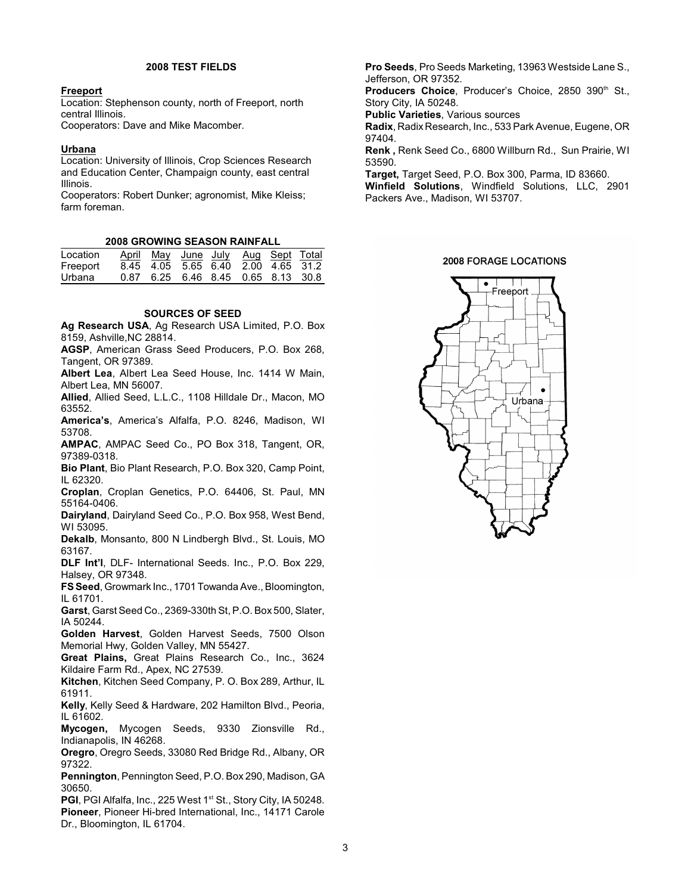#### **2008 TEST FIELDS**

#### **Freeport**

Location: Stephenson county, north of Freeport, north central Illinois.

Cooperators: Dave and Mike Macomber.

#### **Urbana**

Location: University of Illinois, Crop Sciences Research and Education Center, Champaign county, east central Illinois.

Cooperators: Robert Dunker; agronomist, Mike Kleiss; farm foreman.

#### **2008 GROWING SEASON RAINFALL**

| Location |  | April May June July Aug Sept Total |  |  |
|----------|--|------------------------------------|--|--|
| Freeport |  | 8.45 4.05 5.65 6.40 2.00 4.65 31.2 |  |  |
| Urbana   |  | 0.87 6.25 6.46 8.45 0.65 8.13 30.8 |  |  |

#### **SOURCES OF SEED**

**Ag Research USA**, Ag Research USA Limited, P.O. Box 8159, Ashville,NC 28814.

**AGSP**, American Grass Seed Producers, P.O. Box 268, Tangent, OR 97389.

**Albert Lea**, Albert Lea Seed House, Inc. 1414 W Main, Albert Lea, MN 56007.

**Allied**, Allied Seed, L.L.C., 1108 Hilldale Dr., Macon, MO 63552.

**America's**, America's Alfalfa, P.O. 8246, Madison, WI 53708.

**AMPAC**, AMPAC Seed Co., PO Box 318, Tangent, OR, 97389-0318.

**Bio Plant**, Bio Plant Research, P.O. Box 320, Camp Point, IL 62320.

**Croplan**, Croplan Genetics, P.O. 64406, St. Paul, MN 55164-0406.

**Dairyland**, Dairyland Seed Co., P.O. Box 958, West Bend, WI 53095.

**Dekalb**, Monsanto, 800 N Lindbergh Blvd., St. Louis, MO 63167.

**DLF Int'l**, DLF- International Seeds. Inc., P.O. Box 229, Halsey, OR 97348.

**FS Seed**, Growmark Inc., 1701 Towanda Ave., Bloomington, IL 61701.

**Garst**, Garst Seed Co., 2369-330th St, P.O. Box 500, Slater, IA 50244.

**Golden Harvest**, Golden Harvest Seeds, 7500 Olson Memorial Hwy, Golden Valley, MN 55427.

**Great Plains,** Great Plains Research Co., Inc., 3624 Kildaire Farm Rd., Apex, NC 27539.

**Kitchen**, Kitchen Seed Company, P. O. Box 289, Arthur, IL 61911.

**Kelly**, Kelly Seed & Hardware, 202 Hamilton Blvd., Peoria, IL 61602.

**Mycogen,** Mycogen Seeds, 9330 Zionsville Rd., Indianapolis, IN 46268.

**Oregro**, Oregro Seeds, 33080 Red Bridge Rd., Albany, OR 97322.

**Pennington**, Pennington Seed, P.O. Box 290, Madison, GA 30650.

PGI, PGI Alfalfa, Inc., 225 West 1<sup>st</sup> St., Story City, IA 50248. **Pioneer**, Pioneer Hi-bred International, Inc., 14171 Carole Dr., Bloomington, IL 61704.

**Pro Seeds**, Pro Seeds Marketing, 13963 Westside Lane S., Jefferson, OR 97352.

Producers Choice, Producer's Choice, 2850 390th St., Story City, IA 50248.

**Public Varieties**, Various sources

**Radix**, Radix Research, Inc., 533 Park Avenue, Eugene, OR 97404.

**Renk ,** Renk Seed Co., 6800 Willburn Rd., Sun Prairie, WI 53590.

**Target,** Target Seed, P.O. Box 300, Parma, ID 83660.

**Winfield Solutions**, Windfield Solutions, LLC, 2901 Packers Ave., Madison, WI 53707.

#### **2008 FORAGE LOCATIONS**

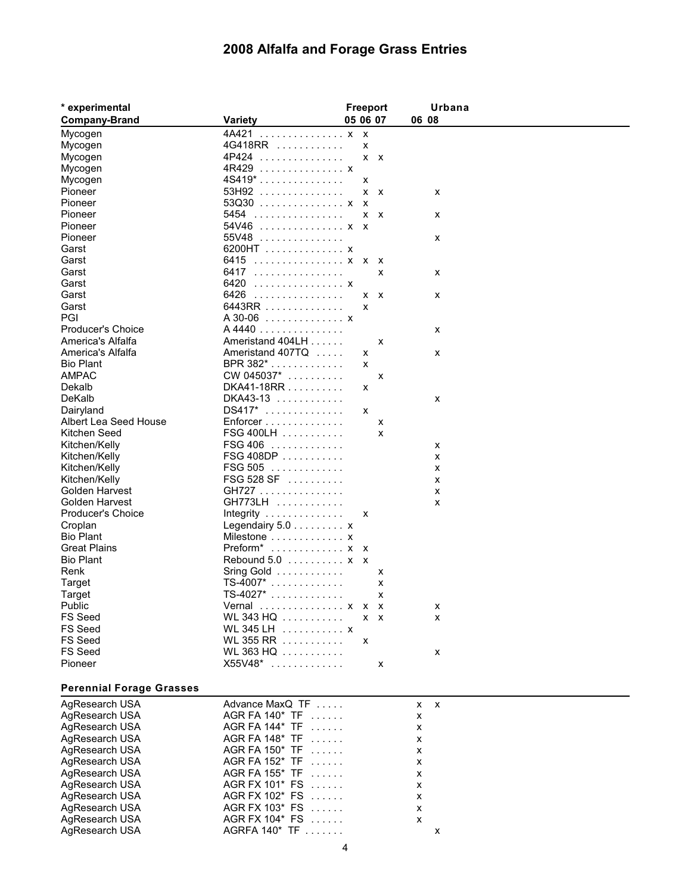## **2008 Alfalfa and Forage Grass Entries**

| * experimental                   |                                         | Freeport |                           |              | Urbana |  |
|----------------------------------|-----------------------------------------|----------|---------------------------|--------------|--------|--|
| <b>Company-Brand</b>             | <b>Variety</b>                          | 05 06 07 |                           |              | 06 08  |  |
| Mycogen                          | 4A421 x                                 |          | $\mathsf{x}$              |              |        |  |
| Mycogen                          | 4G418RR                                 |          | x                         |              |        |  |
| Mycogen                          | 4P424                                   |          | $x \times$                |              |        |  |
| Mycogen                          | 4R429  x                                |          |                           |              |        |  |
| Mycogen                          | $4S419$ *                               |          | x                         |              |        |  |
| Pioneer                          | 53H92                                   |          | x                         | $\mathsf{x}$ | X      |  |
| Pioneer                          | $53Q30$ x                               |          | $\boldsymbol{\mathsf{x}}$ |              |        |  |
| Pioneer                          | 5454                                    |          | x                         | $\mathsf{x}$ | X      |  |
| Pioneer                          | 54V46  x x                              |          |                           |              |        |  |
| Pioneer                          | 55V48                                   |          |                           |              | X      |  |
| Garst                            | 6200HT x                                |          |                           |              |        |  |
| Garst                            | 6415 x x                                |          |                           | $\mathsf{x}$ |        |  |
| Garst                            | 6417                                    |          |                           | x            | X      |  |
| Garst                            | 6420 x                                  |          |                           |              |        |  |
| Garst                            |                                         |          |                           |              |        |  |
|                                  | 6426                                    |          | x                         | $\mathsf{x}$ | X      |  |
| Garst                            | 6443RR                                  |          | x                         |              |        |  |
| PGI                              | A 30-06 x                               |          |                           |              |        |  |
| <b>Producer's Choice</b>         | A 4440                                  |          |                           |              | x      |  |
| America's Alfalfa                | Ameristand 404LH                        |          |                           | X            |        |  |
| America's Alfalfa                | Ameristand 407TQ                        |          | x                         |              | X      |  |
| <b>Bio Plant</b>                 | BPR 382*                                |          | x                         |              |        |  |
| <b>AMPAC</b>                     | CW 045037*                              |          |                           | x            |        |  |
| Dekalb                           | DKA41-18RR                              |          | x                         |              |        |  |
| DeKalb                           | DKA43-13                                |          |                           |              | X      |  |
| Dairyland                        | DS417*                                  |          | x                         |              |        |  |
| Albert Lea Seed House            | Enforcer                                |          |                           | X            |        |  |
| Kitchen Seed                     | FSG 400LH                               |          |                           | x            |        |  |
| Kitchen/Kelly                    | FSG 406                                 |          |                           |              | X      |  |
| Kitchen/Kelly                    | $FSG 408DP \ldots \ldots \ldots$        |          |                           |              | x      |  |
| Kitchen/Kelly                    | FSG 505                                 |          |                           |              | X      |  |
| Kitchen/Kelly                    | FSG 528 SF                              |          |                           |              | x      |  |
| Golden Harvest                   | GH727                                   |          |                           |              | X      |  |
| Golden Harvest                   | GH773LH                                 |          |                           |              | x      |  |
| <b>Producer's Choice</b>         | Integrity $\ldots \ldots \ldots \ldots$ |          | x                         |              |        |  |
| Croplan                          | Legendairy $5.0 \ldots \ldots \ldots x$ |          |                           |              |        |  |
| <b>Bio Plant</b>                 | Milestone  x                            |          |                           |              |        |  |
| <b>Great Plains</b>              | $Preform^*$ x                           |          | $\mathsf{x}$              |              |        |  |
| <b>Bio Plant</b>                 | Rebound 5.0 x x                         |          |                           |              |        |  |
| Renk                             | Sring Gold                              |          |                           | x            |        |  |
| Target                           | $TS-4007^*$                             |          |                           | X            |        |  |
| Target                           | $TS-4027$ *                             |          |                           | X            |        |  |
| Public                           | Vernal  x                               |          |                           | X            |        |  |
|                                  |                                         |          | $\mathsf{X}$              |              | х      |  |
| <b>FS Seed</b><br><b>FS Seed</b> | WL 343 HQ                               |          | $x \times$                |              | X      |  |
| <b>FS Seed</b>                   | WL 345 LH $\ldots \ldots \ldots$ x      |          |                           |              |        |  |
| <b>FS Seed</b>                   | WL 355 RR                               |          | x                         |              |        |  |
|                                  | WL 363 HQ                               |          |                           |              | X      |  |
| Pioneer                          | $X55V48$ $\ldots$                       |          |                           | x            |        |  |
|                                  |                                         |          |                           |              |        |  |

### **Perennial Forage Grasses**

| AgResearch USA | Advance MaxQ TF               | $x \times$   |
|----------------|-------------------------------|--------------|
| AgResearch USA | $AGR$ FA 140 $*$ TF $\ldots$  | X            |
| AgResearch USA | AGR FA $144^*$ TF $\ldots$    | X            |
| AgResearch USA | $AGR$ FA 148* TF $\ldots$     | X            |
| AgResearch USA | $AGR$ FA 150* TF $\,\ldots\,$ | X            |
| AgResearch USA | AGR FA $152^*$ TF $\ldots$    | $\mathsf{x}$ |
| AgResearch USA | AGR FA $155^*$ TF $\ldots$    | x            |
| AgResearch USA | $AGR$ FX 101* FS $\ldots$     | X            |
| AgResearch USA | $AGR FX 102* FS$              | X            |
| AgResearch USA | AGR FX 103* FS                | x            |
| AgResearch USA | AGR FX 104* FS                | x            |
| AgResearch USA | AGREA 140* TE                 | x            |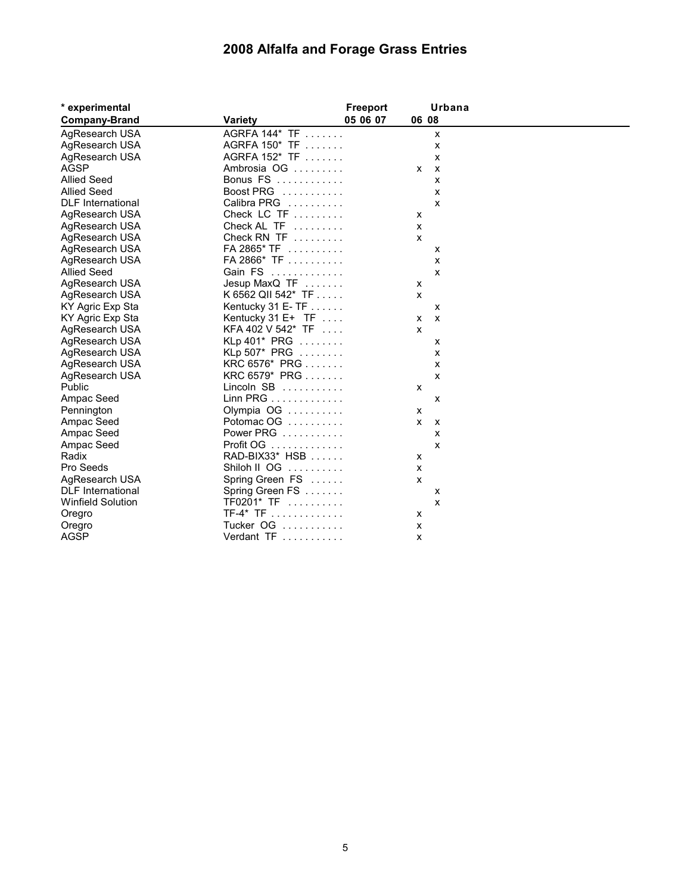## **2008 Alfalfa and Forage Grass Entries**

| * experimental           |                    | Freeport | Urbana       |
|--------------------------|--------------------|----------|--------------|
| <b>Company-Brand</b>     | <b>Variety</b>     | 05 06 07 | 06 08        |
| AgResearch USA           | AGRFA 144* TF      |          | X            |
| AgResearch USA           | AGRFA 150* TF      |          | X            |
| AgResearch USA           | AGRFA 152* TF      |          | x            |
| <b>AGSP</b>              | Ambrosia OG        | X        | $\mathsf{x}$ |
| <b>Allied Seed</b>       | Bonus FS           |          | x            |
| <b>Allied Seed</b>       | Boost PRG          |          | X            |
| <b>DLF</b> International | Calibra PRG        |          | x            |
| AgResearch USA           | Check LC TF        | x        |              |
| AgResearch USA           | Check AL TF        | X        |              |
| AgResearch USA           | Check RN TF        | X        |              |
| AgResearch USA           | FA 2865* TF        |          | x            |
| AgResearch USA           | FA 2866* TF        |          | x            |
| <b>Allied Seed</b>       | Gain FS            |          | x            |
| AgResearch USA           | Jesup MaxQ TF      | x        |              |
| AgResearch USA           | K 6562 QII 542* TF | X        |              |
| KY Agric Exp Sta         | Kentucky 31 E-TF   |          | x            |
| KY Agric Exp Sta         | Kentucky 31 E+ TF  | x        | X            |
| AgResearch USA           | KFA 402 V 542* TF  | x        |              |
| AgResearch USA           | KLp 401* PRG       |          | x            |
| AgResearch USA           | KLp 507* PRG       |          | x            |
| AgResearch USA           | KRC 6576* PRG      |          | x            |
| AgResearch USA           | KRC 6579* PRG      |          | x            |
| Public                   | Lincoln SB         | х        |              |
| Ampac Seed               | Linn PRG           |          | X            |
| Pennington               | Olympia OG         | х        |              |
| Ampac Seed               | Potomac OG         | x        | X            |
| Ampac Seed               | Power PRG          |          | x            |
| Ampac Seed               | Profit OG          |          | x            |
| Radix                    | RAD-BIX33* HSB     | х        |              |
| Pro Seeds                | Shiloh II OG       | x        |              |
| AgResearch USA           | Spring Green FS    | X        |              |
| <b>DLF</b> International | Spring Green FS    |          | X            |
| <b>Winfield Solution</b> | $TF0201* TF$       |          | X            |
| Oregro                   | $TF-4* TF$         | х        |              |
| Oregro                   | Tucker OG          | X        |              |
| <b>AGSP</b>              | Verdant TF         | X        |              |